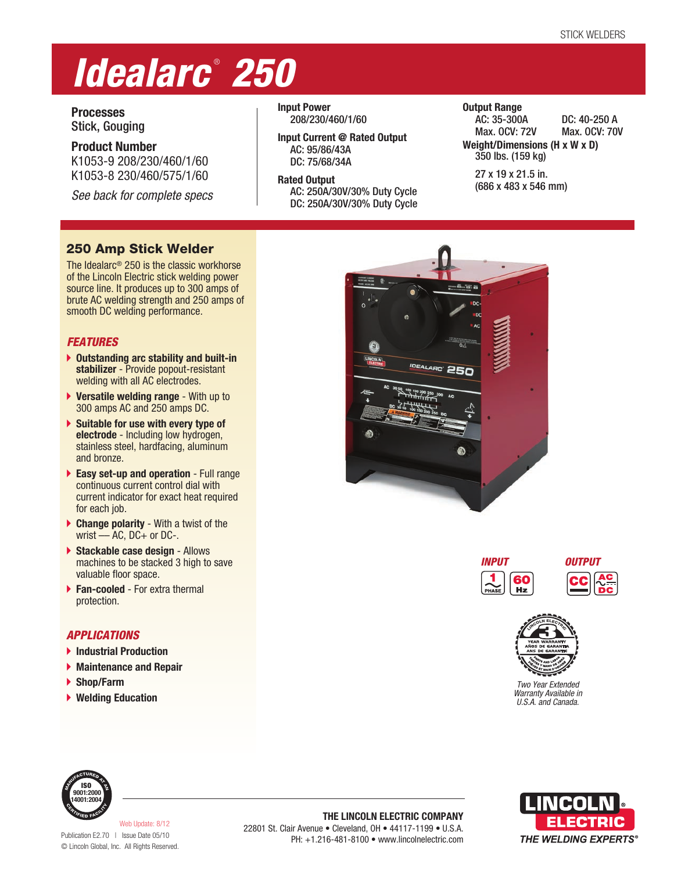# *Idealarc* ®  *250*

**Processes** Stick, Gouging

**Product Number** K1053-9 208/230/460/1/60 K1053-8 230/460/575/1/60

*See back for complete specs*

**Input Power** 208/230/460/1/60

**Input Current @ Rated Output** AC: 95/86/43A DC: 75/68/34A

**Rated Output** AC: 250A/30V/30% Duty Cycle DC: 250A/30V/30% Duty Cycle **Output Range** AC: 35-300A DC: 40-250 A Max. OCV: 72V Max. OCV: 70V **Weight/Dimensions (H x W x D)** 350 lbs. (159 kg)

27 x 19 x 21.5 in. (686 x 483 x 546 mm)

# 250 Amp Stick Welder

The Idealarc® 250 is the classic workhorse of the Lincoln Electric stick welding power source line. It produces up to 300 amps of brute AC welding strength and 250 amps of smooth DC welding performance.

## *FEATURES*

- **Outstanding arc stability and built-in stabilizer** - Provide popout-resistant welding with all AC electrodes.
- **Versatile welding range** With up to 300 amps AC and 250 amps DC.
- **Suitable for use with every type of electrode** - Including low hydrogen, stainless steel, hardfacing, aluminum and bronze.
- **Easy set-up and operation** Full range continuous current control dial with current indicator for exact heat required for each job.
- **Change polarity** With a twist of the wrist - AC, DC+ or DC-.
- **Stackable case design** Allows machines to be stacked 3 high to save valuable floor space.
- **Fan-cooled** For extra thermal protection.

## *APPLICATIONS*

- **Industrial Production**
- **Maintenance and Repair**
- **Shop/Farm**
- **Welding Education**







*Two Year Extended Warranty Available in U.S.A. and Canada.*



**THE LINCOLN ELECTRIC COMPANY** 22801 St. Clair Avenue • Cleveland, OH • 44117-1199 • U.S.A. PH: +1.216-481-8100 • www.lincolnelectric.com